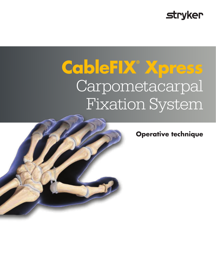## **stryker**

# **CableFIX® Xpress** Carpometacarpal Fixation System

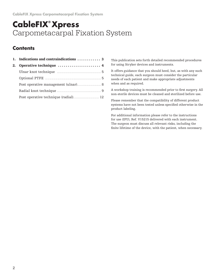## **CableFIX® Xpress** Carpometacarpal Fixation System

#### **Contents**

| 2. | Operative technique  4               |
|----|--------------------------------------|
|    |                                      |
|    |                                      |
|    | Post operative management (ulnar) 8  |
|    |                                      |
|    | Post operative technique (radial) 12 |

This publication sets forth detailed recommended procedures for using Stryker devices and instruments.

It offers guidance that you should heed, but, as with any such technical guide, each surgeon must consider the particular needs of each patient and make appropriate adjustments when and as required.

A workshop training is recommended prior to first surgery. All non-sterile devices must be cleaned and sterilized before use.

Please remember that the compatibility of different product systems have not been tested unless specified otherwise in the product labeling.

For additional information please refer to the instructions for use (IFU), Ref. V15215 delivered with each instrument. The surgeon must discuss all relevant risks, including the finite lifetime of the device, with the patient, when necessary.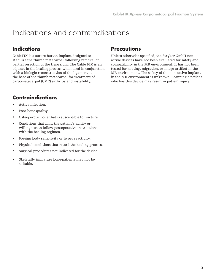## Indications and contraindications

#### **Indications**

CableFIX is a suture button implant designed to stabilize the thumb metacarpal following removal or partial resection of the trapezium. The Cable FIX is an adjunct in the healing process when used in conjunction with a biologic reconstruction of the ligament at the base of the thumb metacarpal for treatment of carpometacarpal (CMC) arthritis and instability.

#### **Contraindications**

- Active infection.
- Poor bone quality.
- Osteoporotic bone that is susceptible to fracture.
- Conditions that limit the patient's ability or willingness to follow postoperative instructions with the healing regimen.
- Foreign body sensitivity or hyper reactivity.
- Physical conditions that retard the healing process.
- Surgical procedures not indicated for the device.
- Skeletally immature bone/patients may not be suitable.

#### **Precautions**

Unless otherwise specified, the Stryker GmbH nonactive devices have not been evaluated for safety and compatibility in the MR environment. It has not been tested for heating, migration, or image artifact in the MR environment. The safety of the non-active implants in the MR environment is unknown. Scanning a patient who has this device may result in patient injury.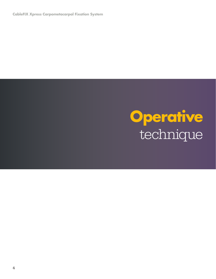**CableFIX Xpress Carpometacarpal Fixation System**

## **Operative**  technique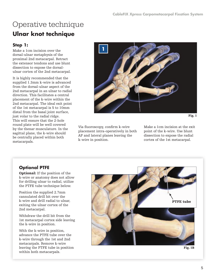## Operative technique **Ulnar knot technique**

#### **Step 1:**

Make a 1cm incision over the dorsal-ulnar metaphysis of the proximal 2nd metacarpal. Retract the extensor tendons and use blunt dissection to expose the dorsalulnar cortex of the 2nd metacarpal.

It is highly recommended that the supplied 1.3mm k-wire is advanced from the dorsal-ulnar aspect of the 2nd metacarpal in an ulnar to radial direction. This facilitates a central placement of the k-wire within the 2nd metacarpal. The ideal exit point of the 1st metacarpal is 5 to 10mm distal from the basal joint surface, just volar to the radial ridge. This will ensure that the 2-hole round plate will be well covered by the thenar musculature. In the sagittal plane, the k-wire should be centrally placed within both metacarpals.



```
Fig. 1
```
Via fluoroscopy, confirm k-wire placement intra-operatively in both AP and lateral planes leaving the k-wire in position.

Make a 1cm incision at the exit point of the k-wire. Use blunt dissection to expose the radial cortex of the 1st metacarpal.

#### **Optional PTFE**

Optional: If the position of the k-wire or anatomy does not allow for drilling ulnar to radial, utilize the PTFE tube technique below.

Position the supplied 2.7mm cannulated drill bit over the k-wire and drill radial to ulnar, exiting the ulnar cortex of the 2nd metacarpal.

Withdraw the drill bit from the 1st metacarpal cortex side leaving the k-wire in position.

With the k-wire in position, advance the PTFE tube over the k-wire through the 1st and 2nd metacarpals. Remove k-wire leaving the PTFE tube in position within both metacarpals.



Fig. 1B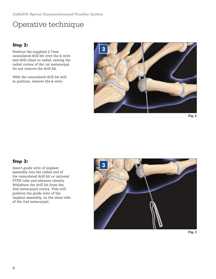#### **Step 2:**

Position the supplied 2.7mm cannulated drill bit over the k-wire and drill ulnar to radial, exiting the radial cortex of the 1st metacarpal. Do not remove the drill bit.

With the cannulated drill bit still in position, remove the k-wire.



Fig. 2

#### **Step 3:**

Insert guide wire of implant assembly into the radial end of the cannulated drill bit or optional PTFE tube and advance ulnarly. Withdraw the drill bit from the 2nd metacarpal cortex. This will position the guide wire of the implant assembly, on the ulnar side of the 2nd metacarpal.



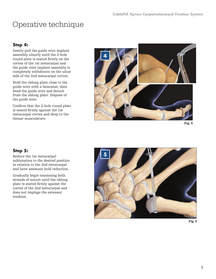#### **Step 4:**

Gently pull the guide wire implant assembly ulnarly until the 2-hole round plate is seated firmly on the cortex of the 1st metacarpal and the guide wire implant assembly is completely withdrawn on the ulnar side of the 2nd metacarpal cortex.

Hold the oblong plate close to the guide wire with a hemostat, then bend the guide wire and detach from the oblong plate. Dispose of the guide wire.

Confirm that the 2-hole round plate is seated firmly against the 1st metacarpal cortex and deep to the thenar musculature.



Fig. 4

#### **Step 5:**

Reduce the 1st metacarpal subluxation to the desired position in relation to the 2nd metacarpal and have assistant hold reduction.

Gradually begin tensioning both strands of suture until the oblong plate is seated firmly against the cortex of the 2nd metacarpal and does not impinge the extensor tendons.



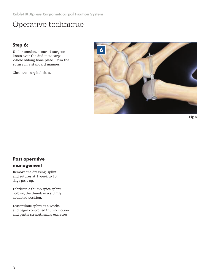**CableFIX Xpress Carpometacarpal Fixation System**

## Operative technique

#### **Step 6:**

Under tension, secure 4 surgeon knots over the 2nd metacarpal 2-hole oblong bone plate. Trim the suture in a standard manner.

Close the surgical sites.



Fig. 6

#### **Post operative management**

Remove the dressing, splint, and sutures at 1 week to 10 days post-op.

Fabricate a thumb spica splint holding the thumb in a slightly abducted position.

Discontinue splint at 4 weeks and begin controlled thumb motion and gentle strengthening exercises.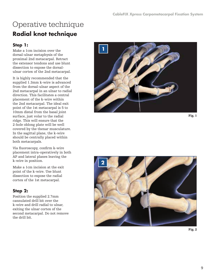## Operative technique **Radial knot technique**

#### **Step 1:**

Make a 1cm incision over the dorsal-ulnar metaphysis of the proximal 2nd metacarpal . Retract the extensor tendons and use blunt dissection to expose the dorsalulnar cortex of the 2nd metacarpal .

It is highly recommended that the supplied 1 .3mm k-wire is advanced from the dorsal-ulnar aspect of the 2nd metacarpal in an ulnar to radial direction . This facilitates a central placement of the k-wire within the 2nd metacarpal . The ideal exit point of the 1st metacarpal is 5 to 10mm distal from the basal joint surface, just volar to the radial ridge . This will ensure that the 2-hole oblong plate will be well covered by the thenar musculature . In the sagittal plane, the k-wire should be centrally placed within both metacarpals .

Via fluoroscopy, confirm k-wire placement intra-operatively in both AP and lateral planes leaving the k-wire in position .

Make a 1cm incision at the exit point of the k-wire . Use blunt dissection to expose the radial cortex of the 1st metacarpal .

#### **Step 2:**

Position the supplied 2 .7mm cannulated drill bit over the k-wire and drill radial to ulnar, exiting the ulnar cortex of the second metacarpal . Do not remove the drill bit .



Fig. 1



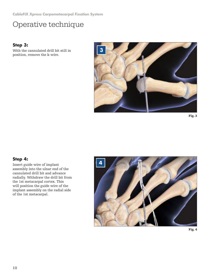#### **Step 3:**

With the cannulated drill bit still in position, remove the k-wire.



Fig. 3

#### **Step 4:**

Insert guide wire of implant assembly into the ulnar end of the cannulated drill bit and advance radially. Withdraw the drill bit from the 1st metacarpal cortex. This will position the guide wire of the implant assembly on the radial side of the 1st metacarpal.



![](_page_9_Figure_9.jpeg)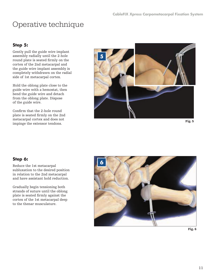#### **Step 5:**

Gently pull the guide wire implant assembly radially until the 2-hole round plate is seated firmly on the cortex of the 2nd metacarpal and the guide wire implant assembly is completely withdrawn on the radial side of 1st metacarpal cortex.

Hold the oblong plate close to the guide wire with a hemostat, then bend the guide wire and detach from the oblong plate. Dispose of the guide wire.

Confirm that the 2-hole round plate is seated firmly on the 2nd metacarpal cortex and does not impinge the extensor tendons.

![](_page_10_Picture_6.jpeg)

Fig. 5

#### **Step 6:**

Reduce the 1st metacarpal subluxation to the desired position in relation to the 2nd metacarpal and have assistant hold reduction.

Gradually begin tensioning both strands of suture until the oblong plate is seated firmly against the cortex of the 1st metacarpal deep to the thenar musculature.

![](_page_10_Picture_11.jpeg)

Fig. 6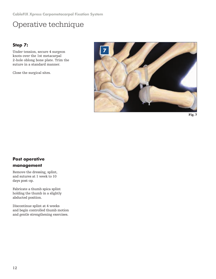**CableFIX Xpress Carpometacarpal Fixation System**

## Operative technique

#### **Step 7:**

Under tension, secure 4 surgeon knots over the 1st metacarpal 2-hole oblong bone plate. Trim the suture in a standard manner.

Close the surgical sites.

![](_page_11_Picture_5.jpeg)

![](_page_11_Figure_6.jpeg)

#### **Post operative management**

Remove the dressing, splint, and sutures at 1 week to 10 days post-op.

Fabricate a thumb spica splint holding the thumb in a slightly abducted position.

Discontinue splint at 4 weeks and begin controlled thumb motion and gentle strengthening exercises.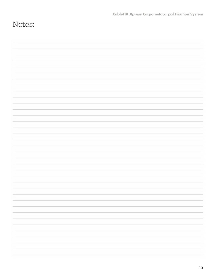| Notes: |  |
|--------|--|
|        |  |
|        |  |
|        |  |
|        |  |
|        |  |
|        |  |
|        |  |
|        |  |
|        |  |
|        |  |
|        |  |
|        |  |
|        |  |
|        |  |
|        |  |
|        |  |
|        |  |
|        |  |
|        |  |
|        |  |
|        |  |
|        |  |
|        |  |
|        |  |
|        |  |
|        |  |
|        |  |
|        |  |
|        |  |
|        |  |
|        |  |
|        |  |
|        |  |
|        |  |
|        |  |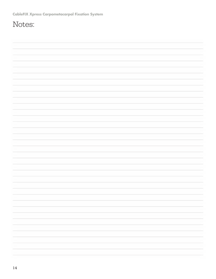## Notes: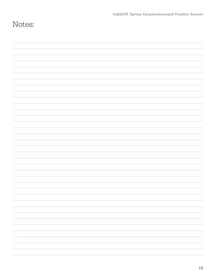| Notes: |  |
|--------|--|
|        |  |
|        |  |
|        |  |
|        |  |
|        |  |
|        |  |
|        |  |
|        |  |
|        |  |
|        |  |
|        |  |
|        |  |
|        |  |
|        |  |
|        |  |
|        |  |
|        |  |
|        |  |
|        |  |
|        |  |
|        |  |
|        |  |
|        |  |
|        |  |
|        |  |
|        |  |
|        |  |
|        |  |
|        |  |
|        |  |
|        |  |